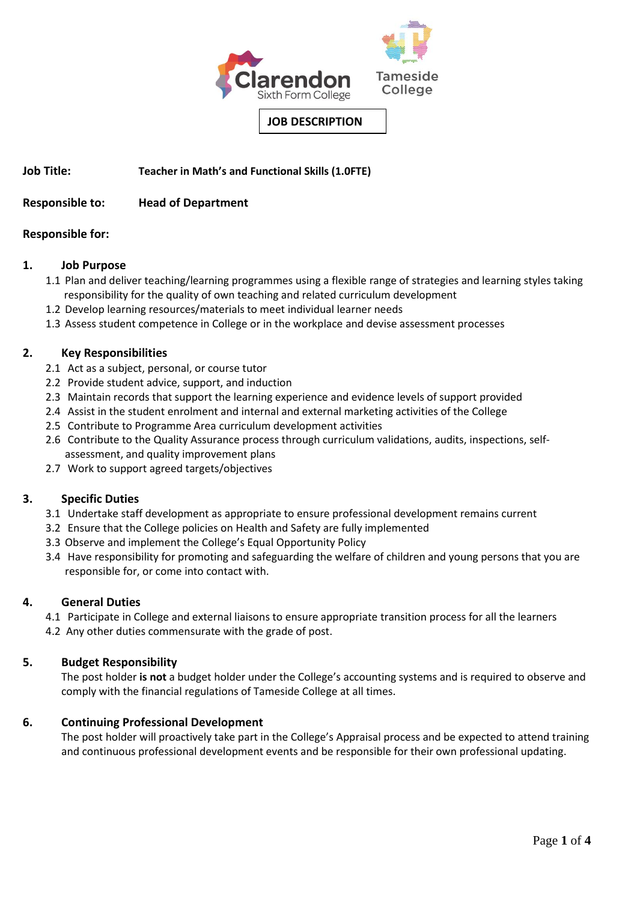

**JOB DESCRIPTION**

**Job Title: Teacher in Math's and Functional Skills (1.0FTE)**

# **Responsible to: Head of Department**

### **Responsible for:**

### **1. Job Purpose**

- 1.1 Plan and deliver teaching/learning programmes using a flexible range of strategies and learning styles taking responsibility for the quality of own teaching and related curriculum development
- 1.2 Develop learning resources/materials to meet individual learner needs
- 1.3 Assess student competence in College or in the workplace and devise assessment processes

### **2. Key Responsibilities**

- 2.1 Act as a subject, personal, or course tutor
- 2.2 Provide student advice, support, and induction
- 2.3 Maintain records that support the learning experience and evidence levels of support provided
- 2.4 Assist in the student enrolment and internal and external marketing activities of the College
- 2.5 Contribute to Programme Area curriculum development activities
- 2.6 Contribute to the Quality Assurance process through curriculum validations, audits, inspections, selfassessment, and quality improvement plans
- 2.7 Work to support agreed targets/objectives

# **3. Specific Duties**

- 3.1 Undertake staff development as appropriate to ensure professional development remains current
- 3.2 Ensure that the College policies on Health and Safety are fully implemented
- 3.3 Observe and implement the College's Equal Opportunity Policy
- 3.4 Have responsibility for promoting and safeguarding the welfare of children and young persons that you are responsible for, or come into contact with.

### **4. General Duties**

4.1 Participate in College and external liaisons to ensure appropriate transition process for all the learners

4.2 Any other duties commensurate with the grade of post.

# **5. Budget Responsibility**

The post holder **is not** a budget holder under the College's accounting systems and is required to observe and comply with the financial regulations of Tameside College at all times.

# **6. Continuing Professional Development**

 The post holder will proactively take part in the College's Appraisal process and be expected to attend training and continuous professional development events and be responsible for their own professional updating.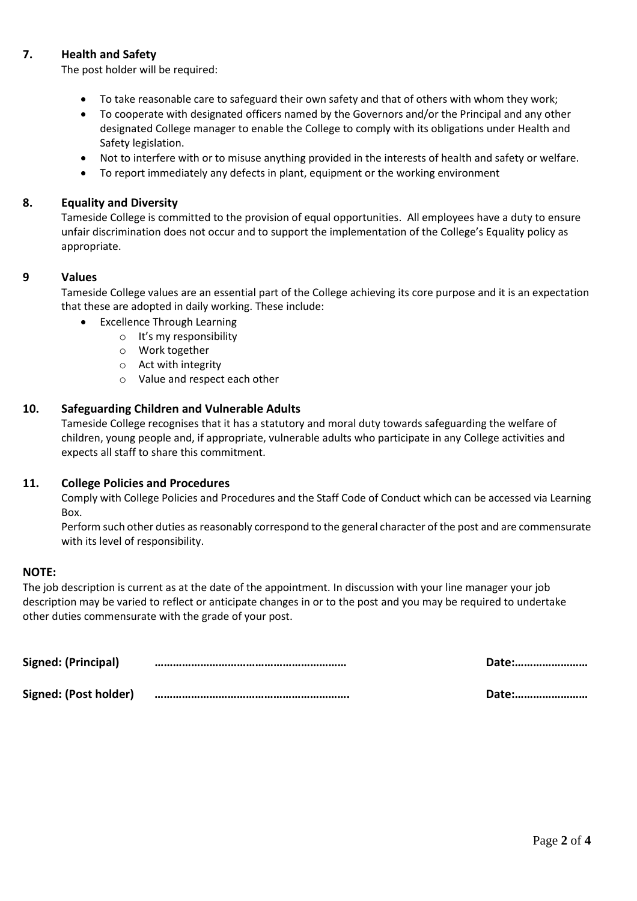# **7. Health and Safety**

The post holder will be required:

- To take reasonable care to safeguard their own safety and that of others with whom they work;
- To cooperate with designated officers named by the Governors and/or the Principal and any other designated College manager to enable the College to comply with its obligations under Health and Safety legislation.
- Not to interfere with or to misuse anything provided in the interests of health and safety or welfare.
- To report immediately any defects in plant, equipment or the working environment

### **8. Equality and Diversity**

Tameside College is committed to the provision of equal opportunities. All employees have a duty to ensure unfair discrimination does not occur and to support the implementation of the College's Equality policy as appropriate.

### **9 Values**

Tameside College values are an essential part of the College achieving its core purpose and it is an expectation that these are adopted in daily working. These include:

- **Excellence Through Learning** 
	- o It's my responsibility
	- o Work together
	- o Act with integrity
	- o Value and respect each other

### **10. Safeguarding Children and Vulnerable Adults**

Tameside College recognises that it has a statutory and moral duty towards safeguarding the welfare of children, young people and, if appropriate, vulnerable adults who participate in any College activities and expects all staff to share this commitment.

### **11. College Policies and Procedures**

Comply with College Policies and Procedures and the Staff Code of Conduct which can be accessed via Learning Box.

Perform such other duties as reasonably correspond to the general character of the post and are commensurate with its level of responsibility.

### **NOTE:**

The job description is current as at the date of the appointment. In discussion with your line manager your job description may be varied to reflect or anticipate changes in or to the post and you may be required to undertake other duties commensurate with the grade of your post.

| Signed: (Principal)   | Date: |
|-----------------------|-------|
| Signed: (Post holder) | Date: |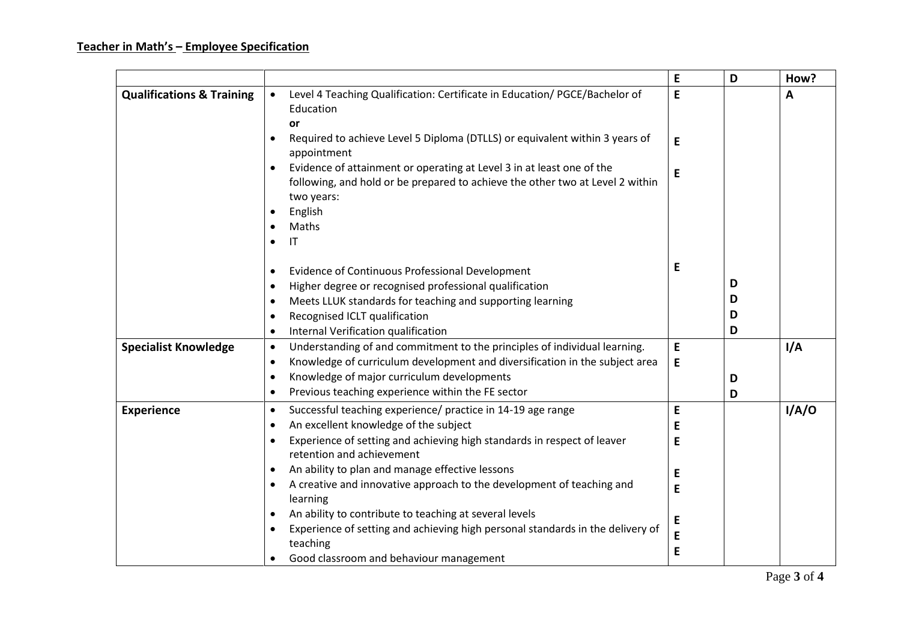# **Teacher in Math's – Employee Specification**

|                                      |                                                                                                                                                                      | E | D | How?  |
|--------------------------------------|----------------------------------------------------------------------------------------------------------------------------------------------------------------------|---|---|-------|
| <b>Qualifications &amp; Training</b> | Level 4 Teaching Qualification: Certificate in Education/PGCE/Bachelor of<br>$\bullet$<br>Education                                                                  | E |   | A     |
|                                      | or                                                                                                                                                                   |   |   |       |
|                                      | Required to achieve Level 5 Diploma (DTLLS) or equivalent within 3 years of<br>$\bullet$<br>appointment                                                              | E |   |       |
|                                      | Evidence of attainment or operating at Level 3 in at least one of the<br>following, and hold or be prepared to achieve the other two at Level 2 within<br>two years: | E |   |       |
|                                      | English<br>$\bullet$                                                                                                                                                 |   |   |       |
|                                      | Maths<br>$\bullet$                                                                                                                                                   |   |   |       |
|                                      | $\mathsf{I}\mathsf{T}$<br>$\bullet$                                                                                                                                  |   |   |       |
|                                      |                                                                                                                                                                      |   |   |       |
|                                      | <b>Evidence of Continuous Professional Development</b><br>$\bullet$                                                                                                  | E |   |       |
|                                      | Higher degree or recognised professional qualification<br>$\bullet$                                                                                                  |   | D |       |
|                                      | Meets LLUK standards for teaching and supporting learning<br>$\bullet$                                                                                               |   | D |       |
|                                      | Recognised ICLT qualification<br>$\bullet$                                                                                                                           |   | D |       |
|                                      | Internal Verification qualification<br>$\bullet$                                                                                                                     |   | D |       |
| <b>Specialist Knowledge</b>          | Understanding of and commitment to the principles of individual learning.<br>$\bullet$                                                                               | E |   | I/A   |
|                                      | Knowledge of curriculum development and diversification in the subject area<br>$\bullet$                                                                             | E |   |       |
|                                      | Knowledge of major curriculum developments<br>$\bullet$                                                                                                              |   | D |       |
|                                      | Previous teaching experience within the FE sector<br>$\bullet$                                                                                                       |   | D |       |
| <b>Experience</b>                    | Successful teaching experience/ practice in 14-19 age range<br>$\bullet$                                                                                             | E |   | I/A/O |
|                                      | An excellent knowledge of the subject<br>$\bullet$                                                                                                                   | Е |   |       |
|                                      | Experience of setting and achieving high standards in respect of leaver<br>$\bullet$                                                                                 | E |   |       |
|                                      | retention and achievement                                                                                                                                            |   |   |       |
|                                      | An ability to plan and manage effective lessons<br>$\bullet$                                                                                                         | E |   |       |
|                                      | A creative and innovative approach to the development of teaching and<br>$\bullet$<br>learning                                                                       | E |   |       |
|                                      | An ability to contribute to teaching at several levels<br>$\bullet$                                                                                                  | Е |   |       |
|                                      | Experience of setting and achieving high personal standards in the delivery of<br>$\bullet$                                                                          | E |   |       |
|                                      | teaching                                                                                                                                                             | E |   |       |
|                                      | Good classroom and behaviour management<br>$\bullet$                                                                                                                 |   |   |       |